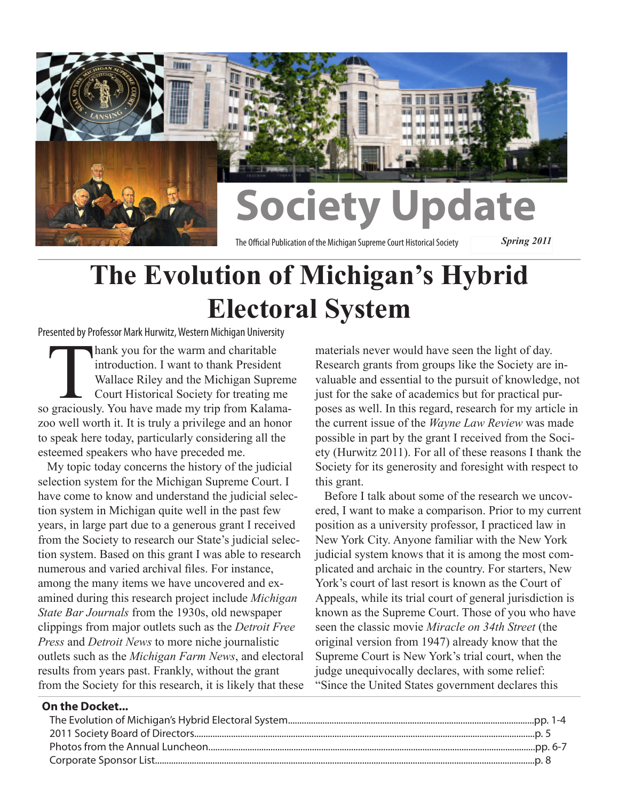

# **The Evolution of Michigan's Hybrid Electoral System**

Presented by Professor Mark Hurwitz, Western Michigan University

Thank you for the warm and charitable<br>
introduction. I want to thank President<br>
Wallace Riley and the Michigan Suprem<br>
Court Historical Society for treating me<br>
so graciously. You have made my trip from Kalamaintroduction. I want to thank President Wallace Riley and the Michigan Supreme Court Historical Society for treating me zoo well worth it. It is truly a privilege and an honor to speak here today, particularly considering all the esteemed speakers who have preceded me.

My topic today concerns the history of the judicial selection system for the Michigan Supreme Court. I have come to know and understand the judicial selection system in Michigan quite well in the past few years, in large part due to a generous grant I received from the Society to research our State's judicial selection system. Based on this grant I was able to research numerous and varied archival files. For instance, among the many items we have uncovered and examined during this research project include *Michigan State Bar Journals* from the 1930s, old newspaper clippings from major outlets such as the *Detroit Free Press* and *Detroit News* to more niche journalistic outlets such as the *Michigan Farm News*, and electoral results from years past. Frankly, without the grant from the Society for this research, it is likely that these

materials never would have seen the light of day. Research grants from groups like the Society are invaluable and essential to the pursuit of knowledge, not just for the sake of academics but for practical purposes as well. In this regard, research for my article in the current issue of the *Wayne Law Review* was made possible in part by the grant I received from the Society (Hurwitz 2011). For all of these reasons I thank the Society for its generosity and foresight with respect to this grant.

Before I talk about some of the research we uncovered, I want to make a comparison. Prior to my current position as a university professor, I practiced law in New York City. Anyone familiar with the New York judicial system knows that it is among the most complicated and archaic in the country. For starters, New York's court of last resort is known as the Court of Appeals, while its trial court of general jurisdiction is known as the Supreme Court. Those of you who have seen the classic movie *Miracle on 34th Street* (the original version from 1947) already know that the Supreme Court is New York's trial court, when the judge unequivocally declares, with some relief: "Since the United States government declares this

#### **On the Docket...**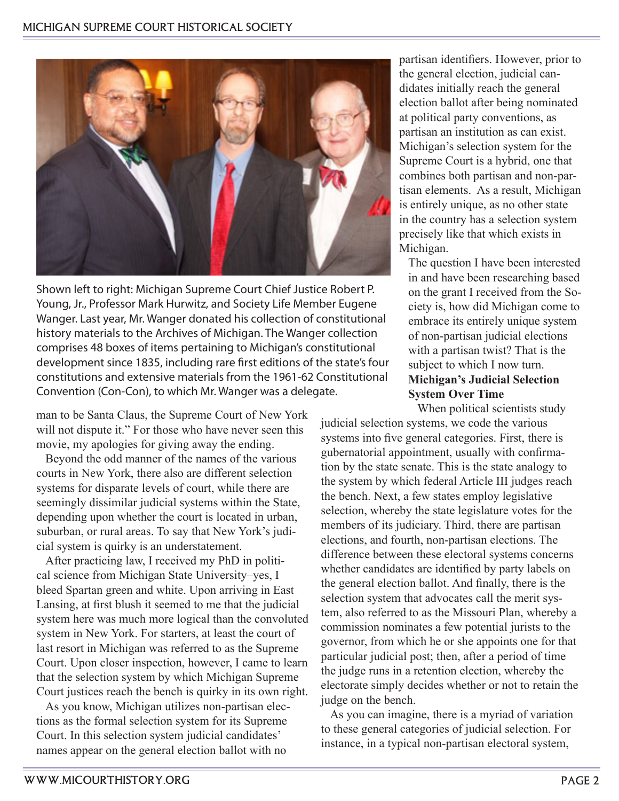

Shown left to right: Michigan Supreme Court Chief Justice Robert P. Young, Jr., Professor Mark Hurwitz, and Society Life Member Eugene Wanger. Last year, Mr. Wanger donated his collection of constitutional history materials to the Archives of Michigan. The Wanger collection comprises 48 boxes of items pertaining to Michigan's constitutional development since 1835, including rare first editions of the state's four constitutions and extensive materials from the 1961-62 Constitutional Convention (Con-Con), to which Mr. Wanger was a delegate.

man to be Santa Claus, the Supreme Court of New York will not dispute it." For those who have never seen this movie, my apologies for giving away the ending.

Beyond the odd manner of the names of the various courts in New York, there also are different selection systems for disparate levels of court, while there are seemingly dissimilar judicial systems within the State, depending upon whether the court is located in urban, suburban, or rural areas. To say that New York's judicial system is quirky is an understatement.

After practicing law, I received my PhD in political science from Michigan State University–yes, I bleed Spartan green and white. Upon arriving in East Lansing, at first blush it seemed to me that the judicial system here was much more logical than the convoluted system in New York. For starters, at least the court of last resort in Michigan was referred to as the Supreme Court. Upon closer inspection, however, I came to learn that the selection system by which Michigan Supreme Court justices reach the bench is quirky in its own right.

As you know, Michigan utilizes non-partisan elections as the formal selection system for its Supreme Court. In this selection system judicial candidates' names appear on the general election ballot with no

partisan identifiers. However, prior to the general election, judicial candidates initially reach the general election ballot after being nominated at political party conventions, as partisan an institution as can exist. Michigan's selection system for the Supreme Court is a hybrid, one that combines both partisan and non-partisan elements. As a result, Michigan is entirely unique, as no other state in the country has a selection system precisely like that which exists in Michigan.

The question I have been interested in and have been researching based on the grant I received from the Society is, how did Michigan come to embrace its entirely unique system of non-partisan judicial elections with a partisan twist? That is the subject to which I now turn. **Michigan's Judicial Selection System Over Time**

When political scientists study judicial selection systems, we code the various systems into five general categories. First, there is gubernatorial appointment, usually with confirmation by the state senate. This is the state analogy to the system by which federal Article III judges reach the bench. Next, a few states employ legislative selection, whereby the state legislature votes for the members of its judiciary. Third, there are partisan elections, and fourth, non-partisan elections. The difference between these electoral systems concerns whether candidates are identified by party labels on the general election ballot. And finally, there is the selection system that advocates call the merit system, also referred to as the Missouri Plan, whereby a commission nominates a few potential jurists to the governor, from which he or she appoints one for that particular judicial post; then, after a period of time the judge runs in a retention election, whereby the electorate simply decides whether or not to retain the judge on the bench.

As you can imagine, there is a myriad of variation to these general categories of judicial selection. For instance, in a typical non-partisan electoral system,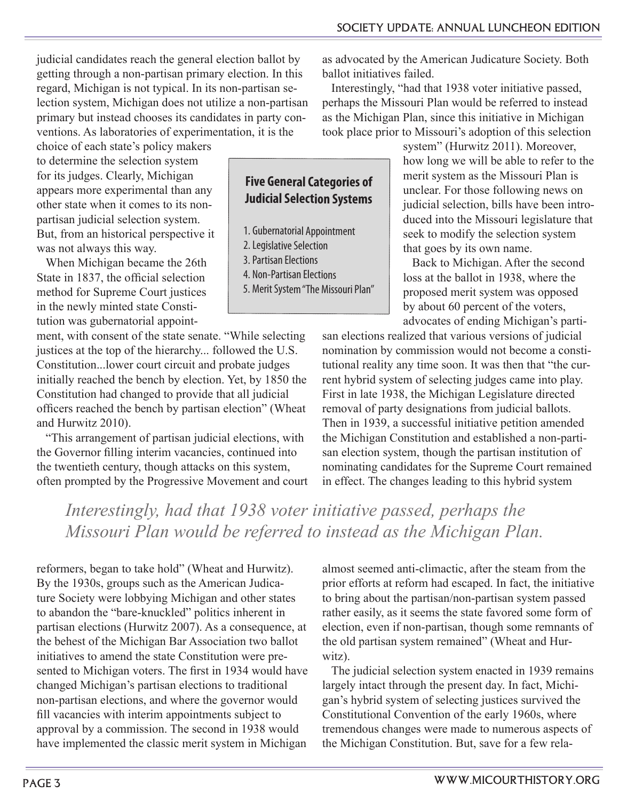judicial candidates reach the general election ballot by getting through a non-partisan primary election. In this regard, Michigan is not typical. In its non-partisan selection system, Michigan does not utilize a non-partisan primary but instead chooses its candidates in party conventions. As laboratories of experimentation, it is the

choice of each state's policy makers to determine the selection system for its judges. Clearly, Michigan appears more experimental than any other state when it comes to its nonpartisan judicial selection system. But, from an historical perspective it was not always this way.

When Michigan became the 26th State in 1837, the official selection method for Supreme Court justices in the newly minted state Constitution was gubernatorial appoint-

ment, with consent of the state senate. "While selecting justices at the top of the hierarchy... followed the U.S. Constitution...lower court circuit and probate judges initially reached the bench by election. Yet, by 1850 the Constitution had changed to provide that all judicial officers reached the bench by partisan election" (Wheat and Hurwitz 2010).

"This arrangement of partisan judicial elections, with the Governor filling interim vacancies, continued into the twentieth century, though attacks on this system, often prompted by the Progressive Movement and court

**Five General Categories of Judicial Selection Systems**

- 1. Gubernatorial Appointment
- 2.Legislative Selection 3.Partisan Elections
- 4. Non-Partisan Elections
- 5. Merit System "The Missouri Plan"

as advocated by the American Judicature Society. Both ballot initiatives failed.

Interestingly, "had that 1938 voter initiative passed, perhaps the Missouri Plan would be referred to instead as the Michigan Plan, since this initiative in Michigan took place prior to Missouri's adoption of this selection

system" (Hurwitz 2011). Moreover, how long we will be able to refer to the merit system as the Missouri Plan is unclear. For those following news on judicial selection, bills have been introduced into the Missouri legislature that seek to modify the selection system that goes by its own name.

Back to Michigan. After the second loss at the ballot in 1938, where the proposed merit system was opposed by about 60 percent of the voters, advocates of ending Michigan's parti-

san elections realized that various versions of judicial nomination by commission would not become a constitutional reality any time soon. It was then that "the current hybrid system of selecting judges came into play. First in late 1938, the Michigan Legislature directed removal of party designations from judicial ballots. Then in 1939, a successful initiative petition amended the Michigan Constitution and established a non-partisan election system, though the partisan institution of nominating candidates for the Supreme Court remained in effect. The changes leading to this hybrid system

### *Interestingly, had that 1938 voter initiative passed, perhaps the Missouri Plan would be referred to instead as the Michigan Plan.*

reformers, began to take hold" (Wheat and Hurwitz). By the 1930s, groups such as the American Judicature Society were lobbying Michigan and other states to abandon the "bare-knuckled" politics inherent in partisan elections (Hurwitz 2007). As a consequence, at the behest of the Michigan Bar Association two ballot initiatives to amend the state Constitution were presented to Michigan voters. The first in 1934 would have changed Michigan's partisan elections to traditional non-partisan elections, and where the governor would fill vacancies with interim appointments subject to approval by a commission. The second in 1938 would have implemented the classic merit system in Michigan

almost seemed anti-climactic, after the steam from the prior efforts at reform had escaped. In fact, the initiative to bring about the partisan/non-partisan system passed rather easily, as it seems the state favored some form of election, even if non-partisan, though some remnants of the old partisan system remained" (Wheat and Hurwitz).

The judicial selection system enacted in 1939 remains largely intact through the present day. In fact, Michigan's hybrid system of selecting justices survived the Constitutional Convention of the early 1960s, where tremendous changes were made to numerous aspects of the Michigan Constitution. But, save for a few rela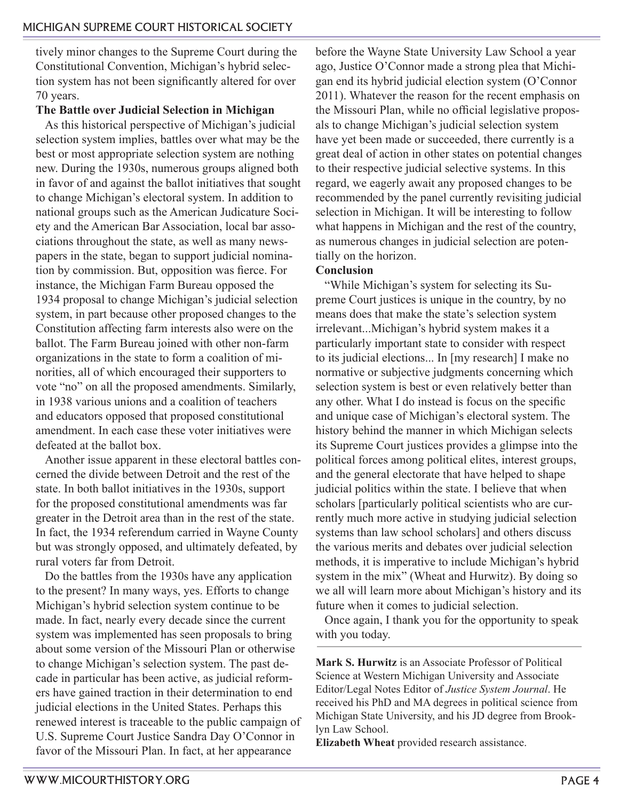tively minor changes to the Supreme Court during the Constitutional Convention, Michigan's hybrid selection system has not been significantly altered for over 70 years.

#### **The Battle over Judicial Selection in Michigan**

As this historical perspective of Michigan's judicial selection system implies, battles over what may be the best or most appropriate selection system are nothing new. During the 1930s, numerous groups aligned both in favor of and against the ballot initiatives that sought to change Michigan's electoral system. In addition to national groups such as the American Judicature Society and the American Bar Association, local bar associations throughout the state, as well as many newspapers in the state, began to support judicial nomination by commission. But, opposition was fierce. For instance, the Michigan Farm Bureau opposed the 1934 proposal to change Michigan's judicial selection system, in part because other proposed changes to the Constitution affecting farm interests also were on the ballot. The Farm Bureau joined with other non-farm organizations in the state to form a coalition of minorities, all of which encouraged their supporters to vote "no" on all the proposed amendments. Similarly, in 1938 various unions and a coalition of teachers and educators opposed that proposed constitutional amendment. In each case these voter initiatives were defeated at the ballot box.

Another issue apparent in these electoral battles concerned the divide between Detroit and the rest of the state. In both ballot initiatives in the 1930s, support for the proposed constitutional amendments was far greater in the Detroit area than in the rest of the state. In fact, the 1934 referendum carried in Wayne County but was strongly opposed, and ultimately defeated, by rural voters far from Detroit.

Do the battles from the 1930s have any application to the present? In many ways, yes. Efforts to change Michigan's hybrid selection system continue to be made. In fact, nearly every decade since the current system was implemented has seen proposals to bring about some version of the Missouri Plan or otherwise to change Michigan's selection system. The past decade in particular has been active, as judicial reformers have gained traction in their determination to end judicial elections in the United States. Perhaps this renewed interest is traceable to the public campaign of U.S. Supreme Court Justice Sandra Day O'Connor in favor of the Missouri Plan. In fact, at her appearance

before the Wayne State University Law School a year ago, Justice O'Connor made a strong plea that Michigan end its hybrid judicial election system (O'Connor 2011). Whatever the reason for the recent emphasis on the Missouri Plan, while no official legislative proposals to change Michigan's judicial selection system have yet been made or succeeded, there currently is a great deal of action in other states on potential changes to their respective judicial selective systems. In this regard, we eagerly await any proposed changes to be recommended by the panel currently revisiting judicial selection in Michigan. It will be interesting to follow what happens in Michigan and the rest of the country, as numerous changes in judicial selection are potentially on the horizon.

### **Conclusion**

"While Michigan's system for selecting its Supreme Court justices is unique in the country, by no means does that make the state's selection system irrelevant...Michigan's hybrid system makes it a particularly important state to consider with respect to its judicial elections... In [my research] I make no normative or subjective judgments concerning which selection system is best or even relatively better than any other. What I do instead is focus on the specific and unique case of Michigan's electoral system. The history behind the manner in which Michigan selects its Supreme Court justices provides a glimpse into the political forces among political elites, interest groups, and the general electorate that have helped to shape judicial politics within the state. I believe that when scholars [particularly political scientists who are currently much more active in studying judicial selection systems than law school scholars] and others discuss the various merits and debates over judicial selection methods, it is imperative to include Michigan's hybrid system in the mix" (Wheat and Hurwitz). By doing so we all will learn more about Michigan's history and its future when it comes to judicial selection.

Once again, I thank you for the opportunity to speak with you today.

**Mark S. Hurwitz** is an Associate Professor of Political Science at Western Michigan University and Associate Editor/Legal Notes Editor of *Justice System Journal*. He received his PhD and MA degrees in political science from Michigan State University, and his JD degree from Brooklyn Law School.

**Elizabeth Wheat** provided research assistance.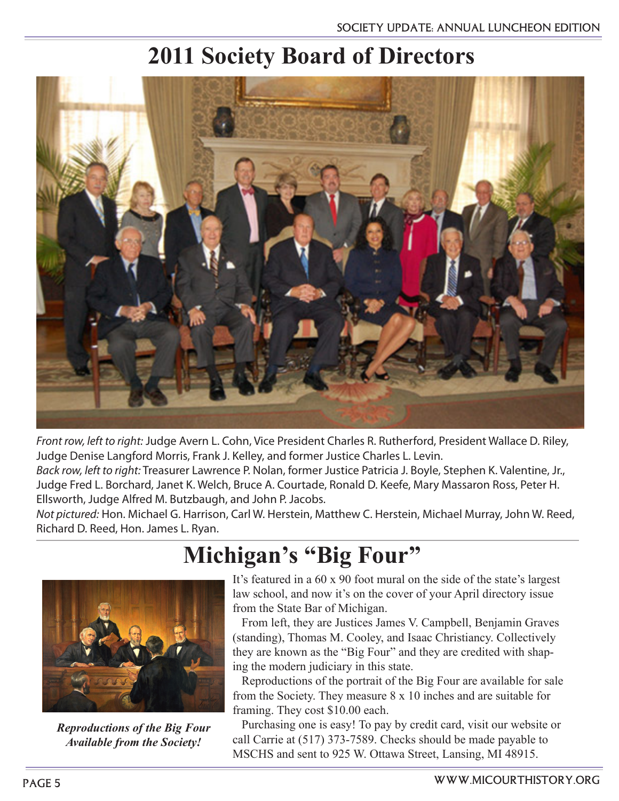## **2011 Society Board of Directors**



*Front row, left to right:* Judge Avern L. Cohn, Vice President Charles R. Rutherford, President Wallace D. Riley, Judge Denise Langford Morris, Frank J. Kelley, and former Justice Charles L. Levin.

*Back row, left to right:* Treasurer Lawrence P. Nolan, former Justice Patricia J. Boyle, Stephen K. Valentine, Jr., Judge Fred L. Borchard, Janet K. Welch, Bruce A. Courtade, Ronald D. Keefe, Mary Massaron Ross, Peter H. Ellsworth, Judge Alfred M. Butzbaugh, and John P. Jacobs.

*Not pictured:* Hon. Michael G. Harrison, Carl W. Herstein, Matthew C. Herstein, Michael Murray, John W. Reed, Richard D. Reed, Hon. James L. Ryan.

# **Michigan's "Big Four"**



*Reproductions of the Big Four Available from the Society!*

It's featured in a 60 x 90 foot mural on the side of the state's largest law school, and now it's on the cover of your April directory issue from the State Bar of Michigan.

From left, they are Justices James V. Campbell, Benjamin Graves (standing), Thomas M. Cooley, and Isaac Christiancy. Collectively they are known as the "Big Four" and they are credited with shaping the modern judiciary in this state.

Reproductions of the portrait of the Big Four are available for sale from the Society. They measure 8 x 10 inches and are suitable for framing. They cost \$10.00 each.

Purchasing one is easy! To pay by credit card, visit our website or call Carrie at (517) 373-7589. Checks should be made payable to MSCHS and sent to 925 W. Ottawa Street, Lansing, MI 48915.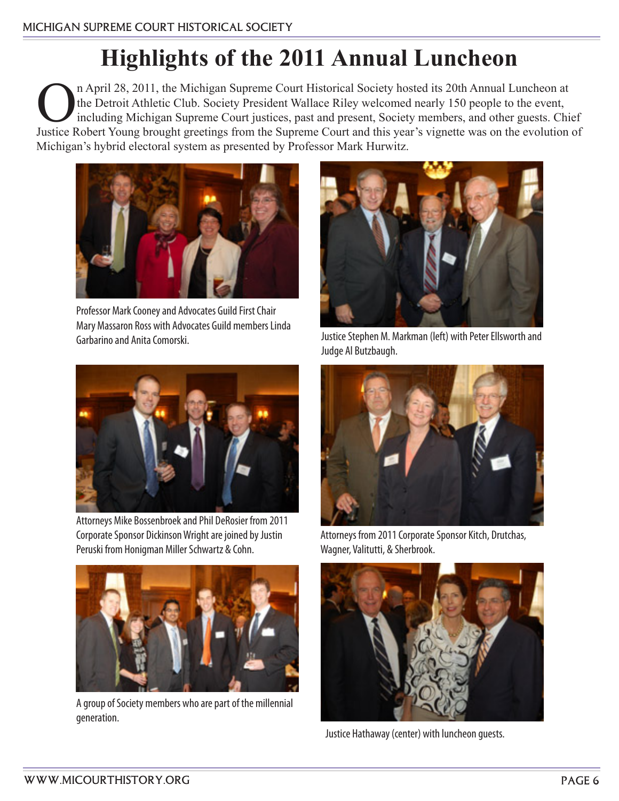# **Highlights of the 2011 Annual Luncheon**

n April 28, 2011, the Michigan Supreme Court Historical Society hosted its 20th Annual Luncheon at<br>the Detroit Athletic Club. Society President Wallace Riley welcomed nearly 150 people to the event,<br>including Michigan Supr the Detroit Athletic Club. Society President Wallace Riley welcomed nearly 150 people to the event, including Michigan Supreme Court justices, past and present, Society members, and other guests. Chief Justice Robert Young brought greetings from the Supreme Court and this year's vignette was on the evolution of Michigan's hybrid electoral system as presented by Professor Mark Hurwitz.



Professor Mark Cooney and Advocates Guild First Chair Mary Massaron Ross with Advocates Guild members Linda Garbarino and Anita Comorski.



Attorneys Mike Bossenbroek and Phil DeRosier from 2011 Corporate Sponsor Dickinson Wright are joined by Justin Peruski from Honigman Miller Schwartz & Cohn.



A group of Society members who are part of the millennial generation.



Justice Stephen M. Markman (left) with Peter Ellsworth and Judge Al Butzbaugh.



Attorneys from 2011 Corporate Sponsor Kitch, Drutchas, Wagner, Valitutti, & Sherbrook.



Justice Hathaway (center) with luncheon guests.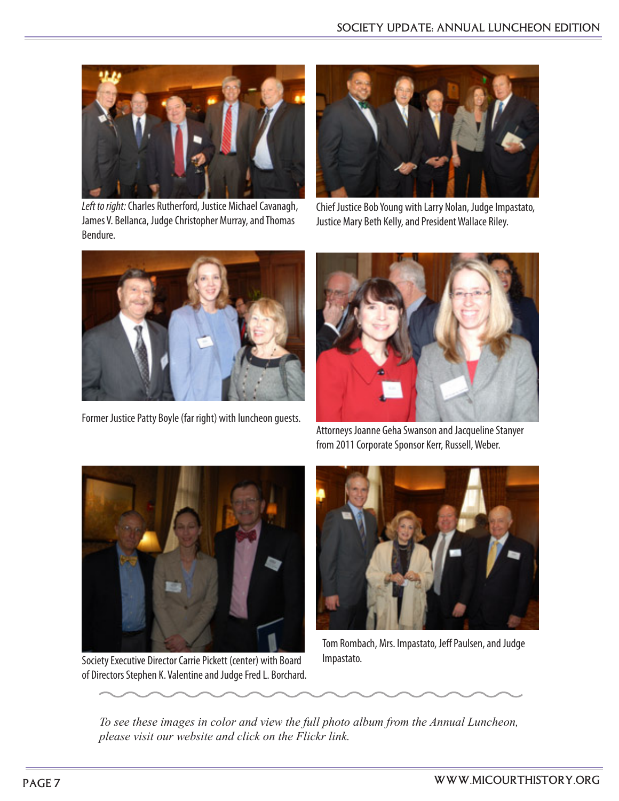

*Left to right:* Charles Rutherford, Justice Michael Cavanagh, James V. Bellanca, Judge Christopher Murray, and Thomas Bendure.



Chief Justice Bob Young with Larry Nolan, Judge Impastato, Justice Mary Beth Kelly, and President Wallace Riley.



Former Justice Patty Boyle (far right) with luncheon guests.



Attorneys Joanne Geha Swanson and Jacqueline Stanyer from 2011 Corporate Sponsor Kerr, Russell, Weber.



Society Executive Director Carrie Pickett (center) with Board of Directors Stephen K. Valentine and Judge Fred L. Borchard.



Tom Rombach, Mrs. Impastato, Jeff Paulsen, and Judge Impastato.

*To see these images in color and view the full photo album from the Annual Luncheon, please visit our website and click on the Flickr link.*